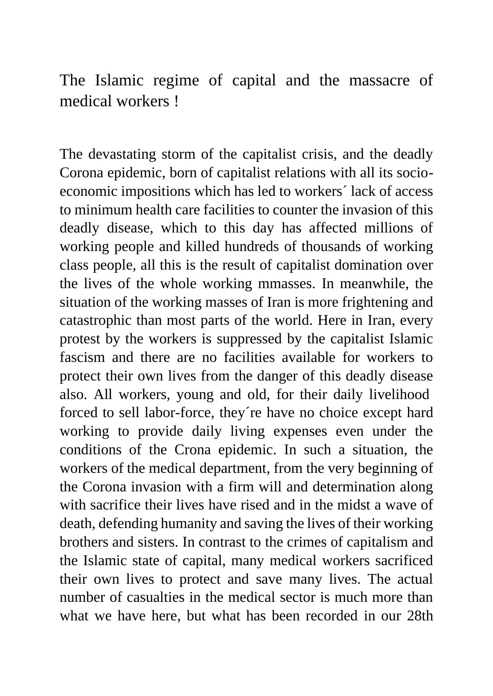The Islamic regime of capital and the massacre of medical workers !

The devastating storm of the capitalist crisis, and the deadly Corona epidemic, born of capitalist relations with all its socioeconomic impositions which has led to workers´ lack of access to minimum health care facilities to counter the invasion of this deadly disease, which to this day has affected millions of working people and killed hundreds of thousands of working class people, all this is the result of capitalist domination over the lives of the whole working mmasses. In meanwhile, the situation of the working masses of Iran is more frightening and catastrophic than most parts of the world. Here in Iran, every protest by the workers is suppressed by the capitalist Islamic fascism and there are no facilities available for workers to protect their own lives from the danger of this deadly disease also. All workers, young and old, for their daily livelihood forced to sell labor-force, they´re have no choice except hard working to provide daily living expenses even under the conditions of the Crona epidemic. In such a situation, the workers of the medical department, from the very beginning of the Corona invasion with a firm will and determination along with sacrifice their lives have rised and in the midst a wave of death, defending humanity and saving the lives of their working brothers and sisters. In contrast to the crimes of capitalism and the Islamic state of capital, many medical workers sacrificed their own lives to protect and save many lives. The actual number of casualties in the medical sector is much more than what we have here, but what has been recorded in our 28th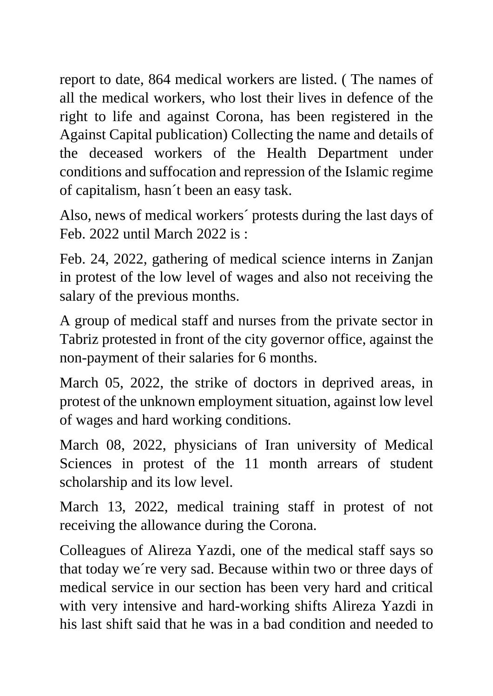report to date, 864 medical workers are listed. ( The names of all the medical workers, who lost their lives in defence of the right to life and against Corona, has been registered in the Against Capital publication) Collecting the name and details of the deceased workers of the Health Department under conditions and suffocation and repression of the Islamic regime of capitalism, hasn´t been an easy task.

Also, news of medical workers´ protests during the last days of Feb. 2022 until March 2022 is :

Feb. 24, 2022, gathering of medical science interns in Zanjan in protest of the low level of wages and also not receiving the salary of the previous months.

A group of medical staff and nurses from the private sector in Tabriz protested in front of the city governor office, against the non-payment of their salaries for 6 months.

March 05, 2022, the strike of doctors in deprived areas, in protest of the unknown employment situation, against low level of wages and hard working conditions.

March 08, 2022, physicians of Iran university of Medical Sciences in protest of the 11 month arrears of student scholarship and its low level.

March 13, 2022, medical training staff in protest of not receiving the allowance during the Corona.

Colleagues of Alireza Yazdi, one of the medical staff says so that today we´re very sad. Because within two or three days of medical service in our section has been very hard and critical with very intensive and hard-working shifts Alireza Yazdi in his last shift said that he was in a bad condition and needed to